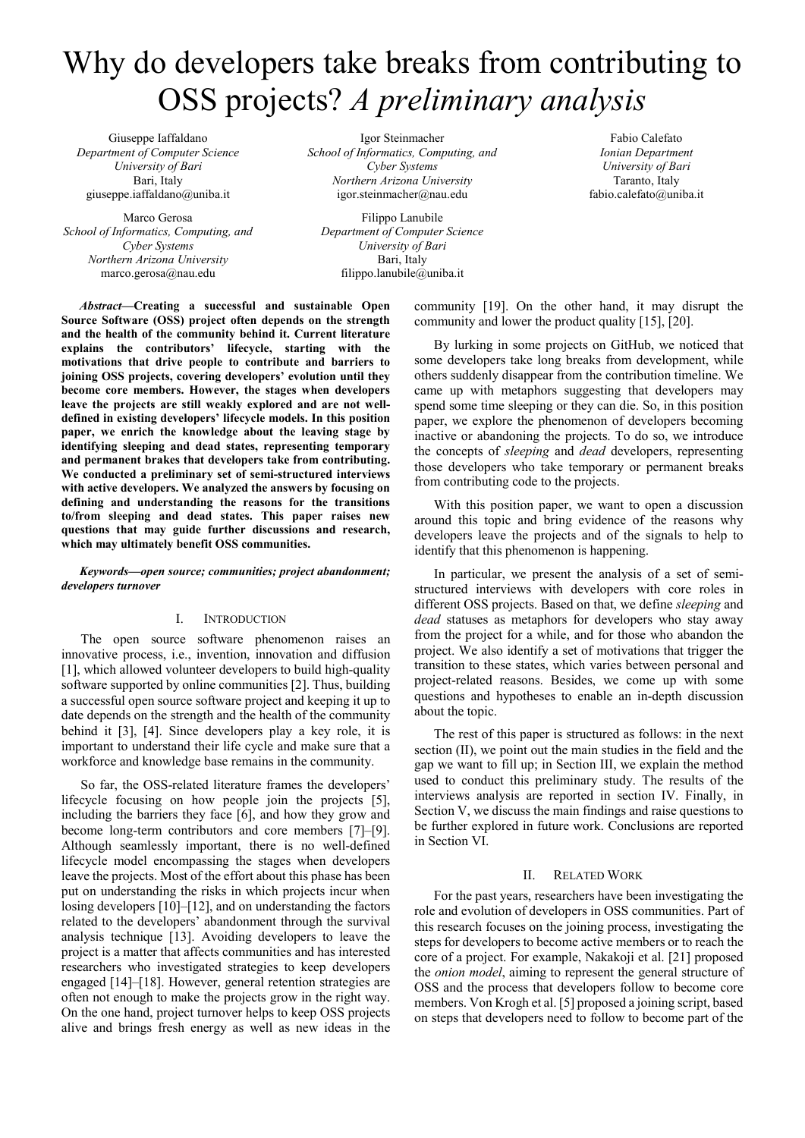# Why do developers take breaks from contributing to OSS projects? *A preliminary analysis*

Giuseppe Iaffaldano *Department of Computer Science University of Bari*  Bari, Italy giuseppe.iaffaldano@uniba.it

Marco Gerosa *School of Informatics, Computing, and Cyber Systems Northern Arizona University*  marco.gerosa@nau.edu

Igor Steinmacher *School of Informatics, Computing, and Cyber Systems Northern Arizona University*  igor.steinmacher@nau.edu

Filippo Lanubile *Department of Computer Science University of Bari*  Bari, Italy filippo.lanubile@uniba.it

Fabio Calefato *Ionian Department University of Bari*  Taranto, Italy fabio.calefato@uniba.it

*Abstract***—Creating a successful and sustainable Open Source Software (OSS) project often depends on the strength and the health of the community behind it. Current literature explains the contributors' lifecycle, starting with the motivations that drive people to contribute and barriers to joining OSS projects, covering developers' evolution until they become core members. However, the stages when developers leave the projects are still weakly explored and are not welldefined in existing developers' lifecycle models. In this position paper, we enrich the knowledge about the leaving stage by identifying sleeping and dead states, representing temporary and permanent brakes that developers take from contributing. We conducted a preliminary set of semi-structured interviews with active developers. We analyzed the answers by focusing on defining and understanding the reasons for the transitions to/from sleeping and dead states. This paper raises new questions that may guide further discussions and research, which may ultimately benefit OSS communities.** 

## *Keywords—open source; communities; project abandonment; developers turnover*

# I. INTRODUCTION

The open source software phenomenon raises an innovative process, i.e., invention, innovation and diffusion [1], which allowed volunteer developers to build high-quality software supported by online communities [2]. Thus, building a successful open source software project and keeping it up to date depends on the strength and the health of the community behind it [3], [4]. Since developers play a key role, it is important to understand their life cycle and make sure that a workforce and knowledge base remains in the community.

So far, the OSS-related literature frames the developers' lifecycle focusing on how people join the projects [5], including the barriers they face [6], and how they grow and become long-term contributors and core members [7]–[9]. Although seamlessly important, there is no well-defined lifecycle model encompassing the stages when developers leave the projects. Most of the effort about this phase has been put on understanding the risks in which projects incur when losing developers [10]–[12], and on understanding the factors related to the developers' abandonment through the survival analysis technique [13]. Avoiding developers to leave the project is a matter that affects communities and has interested researchers who investigated strategies to keep developers engaged [14]–[18]. However, general retention strategies are often not enough to make the projects grow in the right way. On the one hand, project turnover helps to keep OSS projects alive and brings fresh energy as well as new ideas in the community [19]. On the other hand, it may disrupt the community and lower the product quality [15], [20].

By lurking in some projects on GitHub, we noticed that some developers take long breaks from development, while others suddenly disappear from the contribution timeline. We came up with metaphors suggesting that developers may spend some time sleeping or they can die. So, in this position paper, we explore the phenomenon of developers becoming inactive or abandoning the projects. To do so, we introduce the concepts of *sleeping* and *dead* developers, representing those developers who take temporary or permanent breaks from contributing code to the projects.

With this position paper, we want to open a discussion around this topic and bring evidence of the reasons why developers leave the projects and of the signals to help to identify that this phenomenon is happening.

In particular, we present the analysis of a set of semistructured interviews with developers with core roles in different OSS projects. Based on that, we define *sleeping* and *dead* statuses as metaphors for developers who stay away from the project for a while, and for those who abandon the project. We also identify a set of motivations that trigger the transition to these states, which varies between personal and project-related reasons. Besides, we come up with some questions and hypotheses to enable an in-depth discussion about the topic.

The rest of this paper is structured as follows: in the next section (II), we point out the main studies in the field and the gap we want to fill up; in Section III, we explain the method used to conduct this preliminary study. The results of the interviews analysis are reported in section IV. Finally, in Section V, we discuss the main findings and raise questions to be further explored in future work. Conclusions are reported in Section VI.

#### II. RELATED WORK

For the past years, researchers have been investigating the role and evolution of developers in OSS communities. Part of this research focuses on the joining process, investigating the steps for developers to become active members or to reach the core of a project. For example, Nakakoji et al. [21] proposed the *onion model*, aiming to represent the general structure of OSS and the process that developers follow to become core members. Von Krogh et al. [5] proposed a joining script, based on steps that developers need to follow to become part of the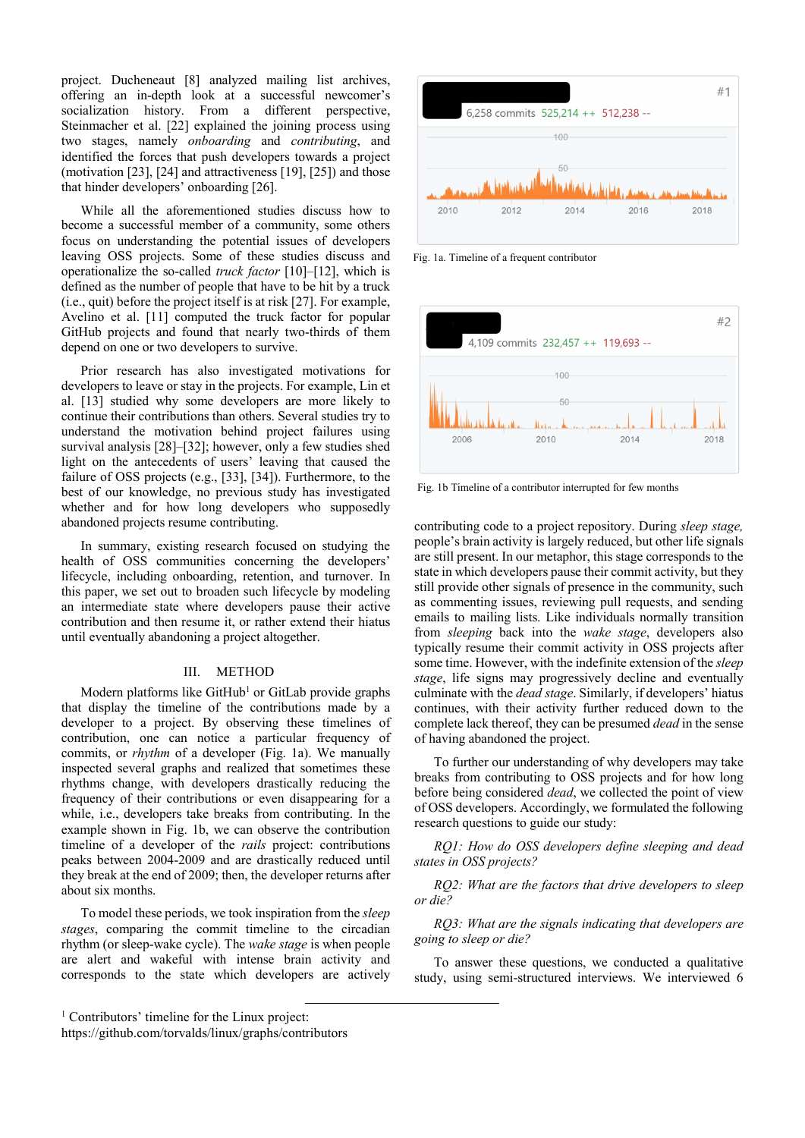project. Ducheneaut [8] analyzed mailing list archives, offering an in-depth look at a successful newcomer's socialization history. From a different perspective, Steinmacher et al. [22] explained the joining process using two stages, namely *onboarding* and *contributing*, and identified the forces that push developers towards a project (motivation [23], [24] and attractiveness [19], [25]) and those that hinder developers' onboarding [26].

While all the aforementioned studies discuss how to become a successful member of a community, some others focus on understanding the potential issues of developers leaving OSS projects. Some of these studies discuss and operationalize the so-called *truck factor* [10]–[12], which is defined as the number of people that have to be hit by a truck (i.e., quit) before the project itself is at risk [27]. For example, Avelino et al. [11] computed the truck factor for popular GitHub projects and found that nearly two-thirds of them depend on one or two developers to survive.

Prior research has also investigated motivations for developers to leave or stay in the projects. For example, Lin et al. [13] studied why some developers are more likely to continue their contributions than others. Several studies try to understand the motivation behind project failures using survival analysis [28]–[32]; however, only a few studies shed light on the antecedents of users' leaving that caused the failure of OSS projects (e.g., [33], [34]). Furthermore, to the best of our knowledge, no previous study has investigated whether and for how long developers who supposedly abandoned projects resume contributing.

In summary, existing research focused on studying the health of OSS communities concerning the developers' lifecycle, including onboarding, retention, and turnover. In this paper, we set out to broaden such lifecycle by modeling an intermediate state where developers pause their active contribution and then resume it, or rather extend their hiatus until eventually abandoning a project altogether.

## III. METHOD

Modern platforms like GitHub<sup>1</sup> or GitLab provide graphs that display the timeline of the contributions made by a developer to a project. By observing these timelines of contribution, one can notice a particular frequency of commits, or *rhythm* of a developer (Fig. 1a). We manually inspected several graphs and realized that sometimes these rhythms change, with developers drastically reducing the frequency of their contributions or even disappearing for a while, i.e., developers take breaks from contributing. In the example shown in Fig. 1b, we can observe the contribution timeline of a developer of the *rails* project: contributions peaks between 2004-2009 and are drastically reduced until they break at the end of 2009; then, the developer returns after about six months.

To model these periods, we took inspiration from the *sleep stages*, comparing the commit timeline to the circadian rhythm (or sleep-wake cycle). The *wake stage* is when people are alert and wakeful with intense brain activity and corresponds to the state which developers are actively



Fig. 1a. Timeline of a frequent contributor



Fig. 1b Timeline of a contributor interrupted for few months

contributing code to a project repository. During *sleep stage,* people's brain activity is largely reduced, but other life signals are still present. In our metaphor, this stage corresponds to the state in which developers pause their commit activity, but they still provide other signals of presence in the community, such as commenting issues, reviewing pull requests, and sending emails to mailing lists. Like individuals normally transition from *sleeping* back into the *wake stage*, developers also typically resume their commit activity in OSS projects after some time. However, with the indefinite extension of the *sleep stage*, life signs may progressively decline and eventually culminate with the *dead stage*. Similarly, if developers' hiatus continues, with their activity further reduced down to the complete lack thereof, they can be presumed *dead* in the sense of having abandoned the project.

To further our understanding of why developers may take breaks from contributing to OSS projects and for how long before being considered *dead*, we collected the point of view of OSS developers. Accordingly, we formulated the following research questions to guide our study:

*RQ1: How do OSS developers define sleeping and dead states in OSS projects?* 

*RQ2: What are the factors that drive developers to sleep or die?* 

*RQ3: What are the signals indicating that developers are going to sleep or die?* 

To answer these questions, we conducted a qualitative study, using semi-structured interviews. We interviewed 6

 <sup>1</sup> Contributors' timeline for the Linux project:

https://github.com/torvalds/linux/graphs/contributors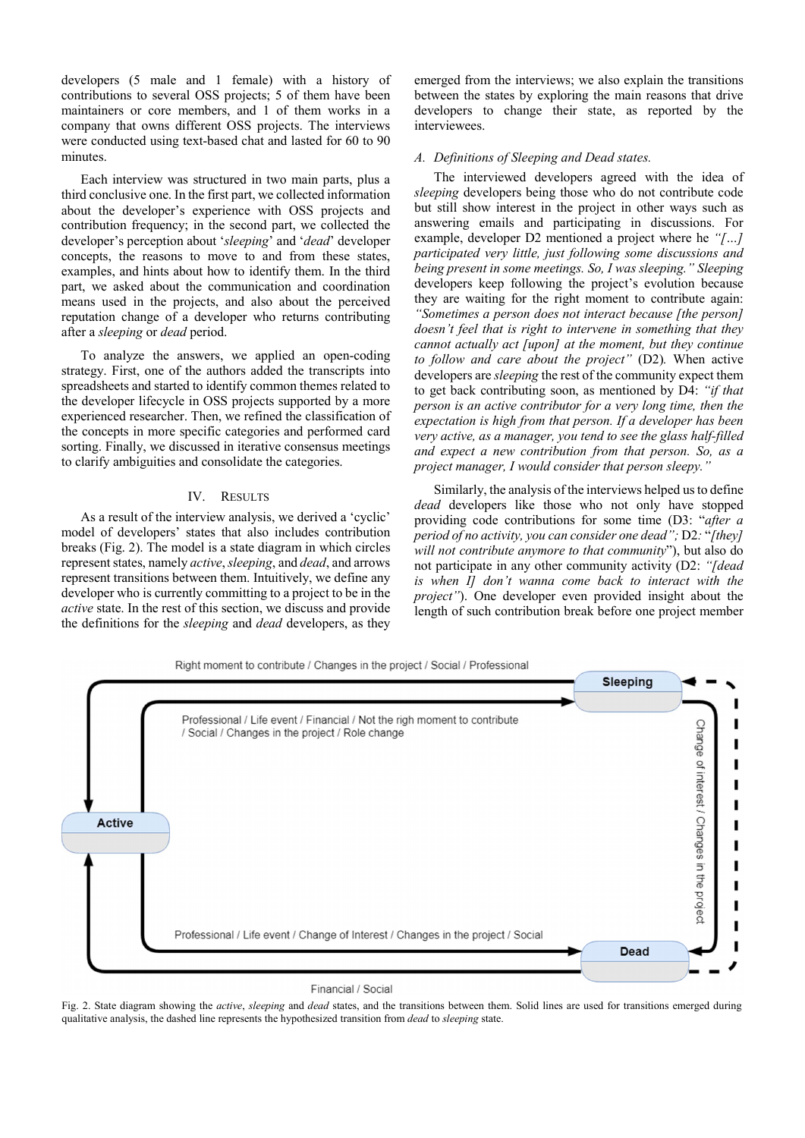developers (5 male and 1 female) with a history of contributions to several OSS projects; 5 of them have been maintainers or core members, and 1 of them works in a company that owns different OSS projects. The interviews were conducted using text-based chat and lasted for 60 to 90 minutes.

Each interview was structured in two main parts, plus a third conclusive one. In the first part, we collected information about the developer's experience with OSS projects and contribution frequency; in the second part, we collected the developer's perception about '*sleeping*' and '*dead*' developer concepts, the reasons to move to and from these states, examples, and hints about how to identify them. In the third part, we asked about the communication and coordination means used in the projects, and also about the perceived reputation change of a developer who returns contributing after a *sleeping* or *dead* period.

To analyze the answers, we applied an open-coding strategy. First, one of the authors added the transcripts into spreadsheets and started to identify common themes related to the developer lifecycle in OSS projects supported by a more experienced researcher. Then, we refined the classification of the concepts in more specific categories and performed card sorting. Finally, we discussed in iterative consensus meetings to clarify ambiguities and consolidate the categories.

#### IV. RESULTS

As a result of the interview analysis, we derived a 'cyclic' model of developers' states that also includes contribution breaks (Fig. 2). The model is a state diagram in which circles represent states, namely *active*, *sleeping*, and *dead*, and arrows represent transitions between them. Intuitively, we define any developer who is currently committing to a project to be in the *active* state. In the rest of this section, we discuss and provide the definitions for the *sleeping* and *dead* developers, as they

emerged from the interviews; we also explain the transitions between the states by exploring the main reasons that drive developers to change their state, as reported by the interviewees.

#### *A. Definitions of Sleeping and Dead states.*

The interviewed developers agreed with the idea of *sleeping* developers being those who do not contribute code but still show interest in the project in other ways such as answering emails and participating in discussions. For example, developer D2 mentioned a project where he *"[…] participated very little, just following some discussions and being present in some meetings. So, I was sleeping." Sleeping* developers keep following the project's evolution because they are waiting for the right moment to contribute again: *"Sometimes a person does not interact because [the person] doesn't feel that is right to intervene in something that they cannot actually act [upon] at the moment, but they continue to follow and care about the project"* (D2)*.* When active developers are *sleeping* the rest of the community expect them to get back contributing soon, as mentioned by D4: *"if that person is an active contributor for a very long time, then the expectation is high from that person. If a developer has been very active, as a manager, you tend to see the glass half-filled and expect a new contribution from that person. So, as a project manager, I would consider that person sleepy."*

Similarly, the analysis of the interviews helped us to define *dead* developers like those who not only have stopped providing code contributions for some time (D3: "*after a period of no activity, you can consider one dead";* D2*:* "*[they] will not contribute anymore to that community*"), but also do not participate in any other community activity (D2: *"[dead is when I] don't wanna come back to interact with the project"*). One developer even provided insight about the length of such contribution break before one project member



#### Financial / Social

Fig. 2. State diagram showing the *active*, *sleeping* and *dead* states, and the transitions between them. Solid lines are used for transitions emerged during qualitative analysis, the dashed line represents the hypothesized transition from *dead* to *sleeping* state.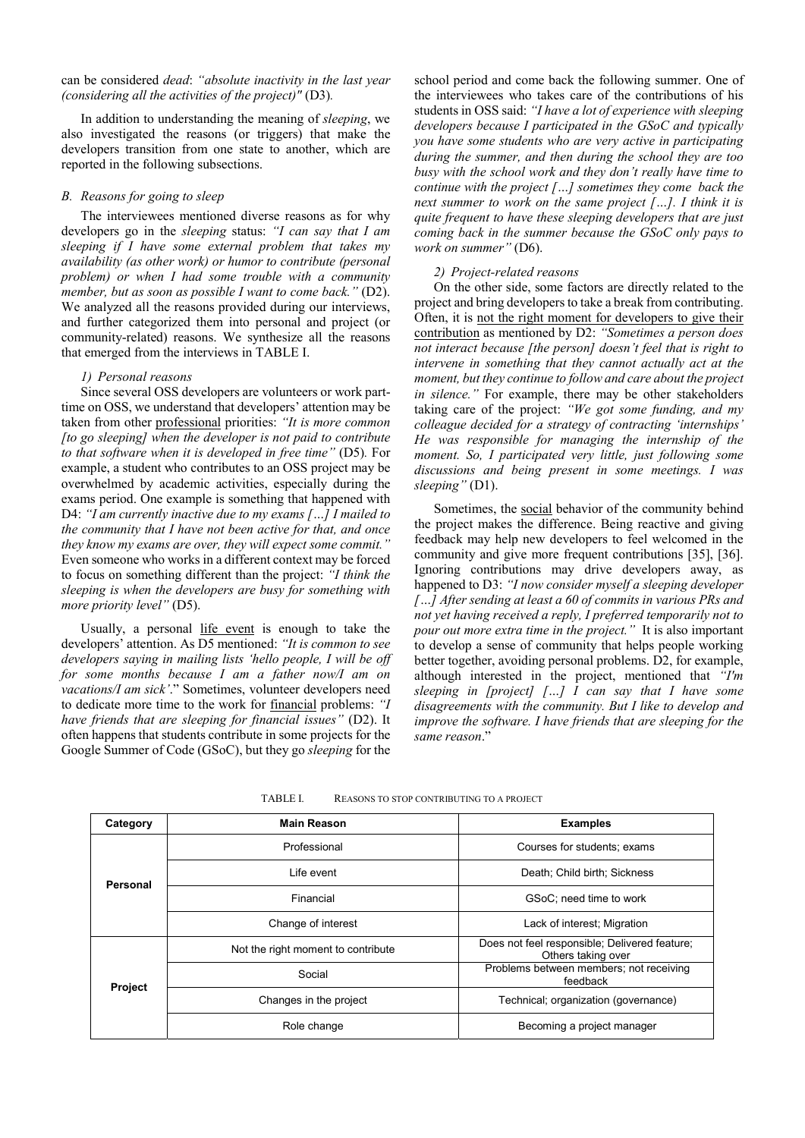# can be considered *dead*: *"absolute inactivity in the last year (considering all the activities of the project)"* (D3)*.*

In addition to understanding the meaning of *sleeping*, we also investigated the reasons (or triggers) that make the developers transition from one state to another, which are reported in the following subsections.

# *B. Reasons for going to sleep*

The interviewees mentioned diverse reasons as for why developers go in the *sleeping* status: *"I can say that I am sleeping if I have some external problem that takes my availability (as other work) or humor to contribute (personal problem) or when I had some trouble with a community member, but as soon as possible I want to come back.*" (D2). We analyzed all the reasons provided during our interviews. and further categorized them into personal and project (or community-related) reasons. We synthesize all the reasons that emerged from the interviews in TABLE I.

## *1) Personal reasons*

Since several OSS developers are volunteers or work parttime on OSS, we understand that developers' attention may be taken from other professional priorities: *"It is more common [to go sleeping] when the developer is not paid to contribute to that software when it is developed in free time"* (D5)*.* For example, a student who contributes to an OSS project may be overwhelmed by academic activities, especially during the exams period. One example is something that happened with D4: *"I am currently inactive due to my exams […] I mailed to the community that I have not been active for that, and once they know my exams are over, they will expect some commit."* Even someone who works in a different context may be forced to focus on something different than the project: *"I think the sleeping is when the developers are busy for something with more priority level"* (D5).

Usually, a personal life event is enough to take the developers' attention. As D5 mentioned: *"It is common to see developers saying in mailing lists 'hello people, I will be off for some months because I am a father now/I am on vacations/I am sick'*." Sometimes, volunteer developers need to dedicate more time to the work for financial problems: *"I have friends that are sleeping for financial issues"* (D2). It often happens that students contribute in some projects for the Google Summer of Code (GSoC), but they go *sleeping* for the

school period and come back the following summer. One of the interviewees who takes care of the contributions of his students in OSS said: *"I have a lot of experience with sleeping developers because I participated in the GSoC and typically you have some students who are very active in participating during the summer, and then during the school they are too busy with the school work and they don't really have time to continue with the project […] sometimes they come back the next summer to work on the same project […]. I think it is quite frequent to have these sleeping developers that are just coming back in the summer because the GSoC only pays to work on summer"* (D6).

# *2) Project-related reasons*

On the other side, some factors are directly related to the project and bring developers to take a break from contributing. Often, it is not the right moment for developers to give their contribution as mentioned by D2: *"Sometimes a person does not interact because [the person] doesn't feel that is right to intervene in something that they cannot actually act at the moment, but they continue to follow and care about the project in silence."* For example, there may be other stakeholders taking care of the project: *"We got some funding, and my colleague decided for a strategy of contracting 'internships' He was responsible for managing the internship of the moment. So, I participated very little, just following some discussions and being present in some meetings. I was sleeping"* (D1).

Sometimes, the social behavior of the community behind the project makes the difference. Being reactive and giving feedback may help new developers to feel welcomed in the community and give more frequent contributions [35], [36]. Ignoring contributions may drive developers away, as happened to D3: *"I now consider myself a sleeping developer […] After sending at least a 60 of commits in various PRs and not yet having received a reply, I preferred temporarily not to pour out more extra time in the project."* It is also important to develop a sense of community that helps people working better together, avoiding personal problems. D2, for example, although interested in the project, mentioned that *"I'm sleeping in [project] […] I can say that I have some disagreements with the community. But I like to develop and improve the software. I have friends that are sleeping for the same reason*."

| Category       | <b>Main Reason</b>                 | <b>Examples</b>                                                     |
|----------------|------------------------------------|---------------------------------------------------------------------|
| Personal       | Professional                       | Courses for students; exams                                         |
|                | Life event                         | Death; Child birth; Sickness                                        |
|                | Financial                          | GSoC; need time to work                                             |
|                | Change of interest                 | Lack of interest; Migration                                         |
| <b>Project</b> | Not the right moment to contribute | Does not feel responsible; Delivered feature;<br>Others taking over |
|                | Social                             | Problems between members; not receiving<br>feedback                 |
|                | Changes in the project             | Technical; organization (governance)                                |
|                | Role change                        | Becoming a project manager                                          |

TABLE I. REASONS TO STOP CONTRIBUTING TO A PROJECT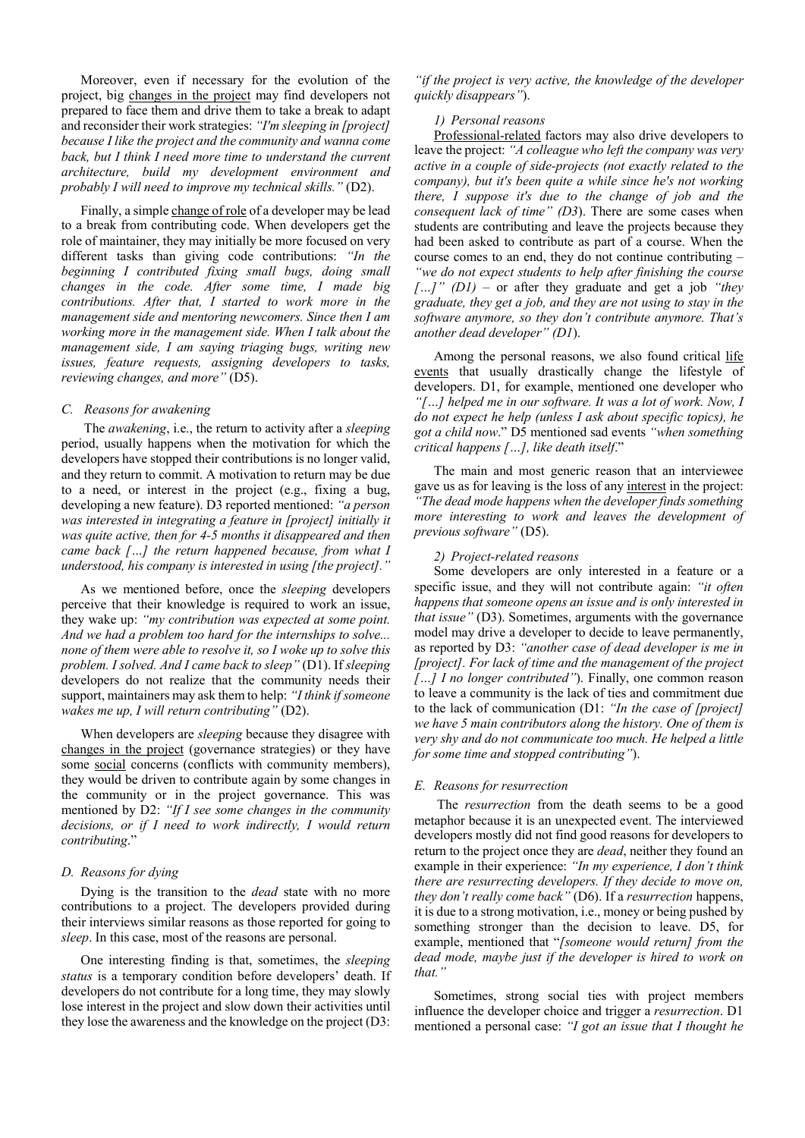Moreover, even if necessary for the evolution of the project, big changes in the project may find developers not prepared to face them and drive them to take a break to adapt and reconsider their work strategies: *"I'm sleeping in [project] because I like the project and the community and wanna come back, but I think I need more time to understand the current architecture, build my development environment and probably I will need to improve my technical skills."* (D2).

Finally, a simple change of role of a developer may be lead to a break from contributing code. When developers get the role of maintainer, they may initially be more focused on very different tasks than giving code contributions: *"In the beginning I contributed fixing small bugs, doing small changes in the code. After some time, I made big contributions. After that, I started to work more in the management side and mentoring newcomers. Since then I am working more in the management side. When I talk about the management side, I am saying triaging bugs, writing new issues, feature requests, assigning developers to tasks, reviewing changes, and more"* (D5).

## *C. Reasons for awakening*

 The *awakening*, i.e., the return to activity after a *sleeping*  period, usually happens when the motivation for which the developers have stopped their contributions is no longer valid, and they return to commit. A motivation to return may be due to a need, or interest in the project (e.g., fixing a bug, developing a new feature). D3 reported mentioned: *"a person was interested in integrating a feature in [project] initially it was quite active, then for 4-5 months it disappeared and then came back […] the return happened because, from what I understood, his company is interested in using [the project]."*

As we mentioned before, once the *sleeping* developers perceive that their knowledge is required to work an issue, they wake up: *"my contribution was expected at some point. And we had a problem too hard for the internships to solve... none of them were able to resolve it, so I woke up to solve this problem. I solved. And I came back to sleep"* (D1). If *sleeping* developers do not realize that the community needs their support, maintainers may ask them to help: *"I think if someone wakes me up, I will return contributing"* (D2).

When developers are *sleeping* because they disagree with changes in the project (governance strategies) or they have some social concerns (conflicts with community members), they would be driven to contribute again by some changes in the community or in the project governance. This was mentioned by D2: *"If I see some changes in the community decisions, or if I need to work indirectly, I would return contributing*."

# *D. Reasons for dying*

Dying is the transition to the *dead* state with no more contributions to a project. The developers provided during their interviews similar reasons as those reported for going to *sleep*. In this case, most of the reasons are personal.

One interesting finding is that, sometimes, the *sleeping status* is a temporary condition before developers' death. If developers do not contribute for a long time, they may slowly lose interest in the project and slow down their activities until they lose the awareness and the knowledge on the project (D3:

*"if the project is very active, the knowledge of the developer quickly disappears"*).

#### *1) Personal reasons*

Professional-related factors may also drive developers to leave the project: *"A colleague who left the company was very active in a couple of side-projects (not exactly related to the company), but it's been quite a while since he's not working there, I suppose it's due to the change of job and the consequent lack of time" (D3*). There are some cases when students are contributing and leave the projects because they had been asked to contribute as part of a course. When the course comes to an end, they do not continue contributing – *"we do not expect students to help after finishing the course […]" (D1)* – or after they graduate and get a job *"they graduate, they get a job, and they are not using to stay in the software anymore, so they don't contribute anymore. That's another dead developer" (D1*).

Among the personal reasons, we also found critical life events that usually drastically change the lifestyle of developers. D1, for example, mentioned one developer who *"[…] helped me in our software. It was a lot of work. Now, I do not expect he help (unless I ask about specific topics), he got a child now*." D5 mentioned sad events *"when something critical happens […], like death itself*."

The main and most generic reason that an interviewee gave us as for leaving is the loss of any interest in the project: *"The dead mode happens when the developer finds something more interesting to work and leaves the development of previous software"* (D5).

#### *2) Project-related reasons*

Some developers are only interested in a feature or a specific issue, and they will not contribute again: *"it often happens that someone opens an issue and is only interested in that issue"* (D3). Sometimes, arguments with the governance model may drive a developer to decide to leave permanently, as reported by D3: *"another case of dead developer is me in [project]. For lack of time and the management of the project […] I no longer contributed"*). Finally, one common reason to leave a community is the lack of ties and commitment due to the lack of communication (D1: *"In the case of [project] we have 5 main contributors along the history. One of them is very shy and do not communicate too much. He helped a little for some time and stopped contributing"*).

#### *E. Reasons for resurrection*

 The *resurrection* from the death seems to be a good metaphor because it is an unexpected event. The interviewed developers mostly did not find good reasons for developers to return to the project once they are *dead*, neither they found an example in their experience: *"In my experience, I don't think there are resurrecting developers. If they decide to move on, they don't really come back"* (D6). If a *resurrection* happens, it is due to a strong motivation, i.e., money or being pushed by something stronger than the decision to leave. D5, for example, mentioned that "*[someone would return] from the dead mode, maybe just if the developer is hired to work on that."*

Sometimes, strong social ties with project members influence the developer choice and trigger a *resurrection*. D1 mentioned a personal case: *"I got an issue that I thought he*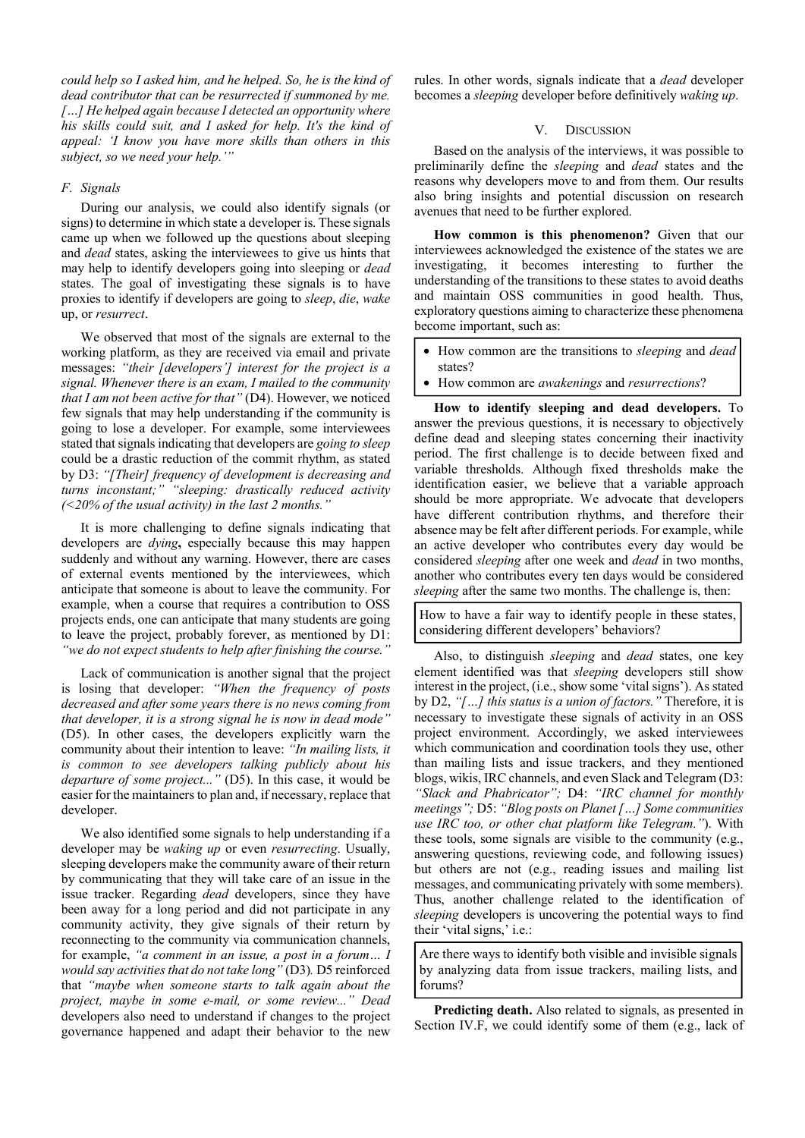*could help so I asked him, and he helped. So, he is the kind of dead contributor that can be resurrected if summoned by me. […] He helped again because I detected an opportunity where his skills could suit, and I asked for help. It's the kind of appeal: 'I know you have more skills than others in this subject, so we need your help.'"*

# *F. Signals*

During our analysis, we could also identify signals (or signs) to determine in which state a developer is. These signals came up when we followed up the questions about sleeping and *dead* states, asking the interviewees to give us hints that may help to identify developers going into sleeping or *dead* states. The goal of investigating these signals is to have proxies to identify if developers are going to *sleep*, *die*, *wake*  up, or *resurrect*.

We observed that most of the signals are external to the working platform, as they are received via email and private messages: *"their [developers'] interest for the project is a signal. Whenever there is an exam, I mailed to the community that I am not been active for that"* (D4). However, we noticed few signals that may help understanding if the community is going to lose a developer. For example, some interviewees stated that signals indicating that developers are *going to sleep* could be a drastic reduction of the commit rhythm, as stated by D3: *"[Their] frequency of development is decreasing and turns inconstant;" "sleeping: drastically reduced activity (<20% of the usual activity) in the last 2 months."*

It is more challenging to define signals indicating that developers are *dying***,** especially because this may happen suddenly and without any warning. However, there are cases of external events mentioned by the interviewees, which anticipate that someone is about to leave the community. For example, when a course that requires a contribution to OSS projects ends, one can anticipate that many students are going to leave the project, probably forever, as mentioned by D1: *"we do not expect students to help after finishing the course."*

Lack of communication is another signal that the project is losing that developer: *"When the frequency of posts decreased and after some years there is no news coming from that developer, it is a strong signal he is now in dead mode"*  (D5). In other cases, the developers explicitly warn the community about their intention to leave: *"In mailing lists, it is common to see developers talking publicly about his departure of some project..."* (D5). In this case, it would be easier for the maintainers to plan and, if necessary, replace that developer.

We also identified some signals to help understanding if a developer may be *waking up* or even *resurrecting*. Usually, sleeping developers make the community aware of their return by communicating that they will take care of an issue in the issue tracker. Regarding *dead* developers, since they have been away for a long period and did not participate in any community activity, they give signals of their return by reconnecting to the community via communication channels, for example, *"a comment in an issue, a post in a forum… I would say activities that do not take long"* (D3)*.* D5 reinforced that *"maybe when someone starts to talk again about the project, maybe in some e-mail, or some review..." Dead* developers also need to understand if changes to the project governance happened and adapt their behavior to the new rules. In other words, signals indicate that a *dead* developer becomes a *sleeping* developer before definitively *waking up*.

# V. DISCUSSION

Based on the analysis of the interviews, it was possible to preliminarily define the *sleeping* and *dead* states and the reasons why developers move to and from them. Our results also bring insights and potential discussion on research avenues that need to be further explored.

**How common is this phenomenon?** Given that our interviewees acknowledged the existence of the states we are investigating, it becomes interesting to further the understanding of the transitions to these states to avoid deaths and maintain OSS communities in good health. Thus, exploratory questions aiming to characterize these phenomena become important, such as:

- How common are the transitions to *sleeping* and *dead* states?
- How common are *awakenings* and *resurrections*?

**How to identify sleeping and dead developers.** To answer the previous questions, it is necessary to objectively define dead and sleeping states concerning their inactivity period. The first challenge is to decide between fixed and variable thresholds. Although fixed thresholds make the identification easier, we believe that a variable approach should be more appropriate. We advocate that developers have different contribution rhythms, and therefore their absence may be felt after different periods. For example, while an active developer who contributes every day would be considered *sleeping* after one week and *dead* in two months, another who contributes every ten days would be considered *sleeping* after the same two months. The challenge is, then:

How to have a fair way to identify people in these states, considering different developers' behaviors?

Also, to distinguish *sleeping* and *dead* states, one key element identified was that *sleeping* developers still show interest in the project, (i.e., show some 'vital signs'). As stated by D2, *"[…] this status is a union of factors."* Therefore, it is necessary to investigate these signals of activity in an OSS project environment. Accordingly, we asked interviewees which communication and coordination tools they use, other than mailing lists and issue trackers, and they mentioned blogs, wikis, IRC channels, and even Slack and Telegram (D3: *"Slack and Phabricator";* D4: *"IRC channel for monthly meetings";* D5: *"Blog posts on Planet […] Some communities use IRC too, or other chat platform like Telegram."*). With these tools, some signals are visible to the community (e.g., answering questions, reviewing code, and following issues) but others are not (e.g., reading issues and mailing list messages, and communicating privately with some members). Thus, another challenge related to the identification of *sleeping* developers is uncovering the potential ways to find their 'vital signs,' i.e.:

Are there ways to identify both visible and invisible signals by analyzing data from issue trackers, mailing lists, and forums?

**Predicting death.** Also related to signals, as presented in Section IV.F, we could identify some of them (e.g., lack of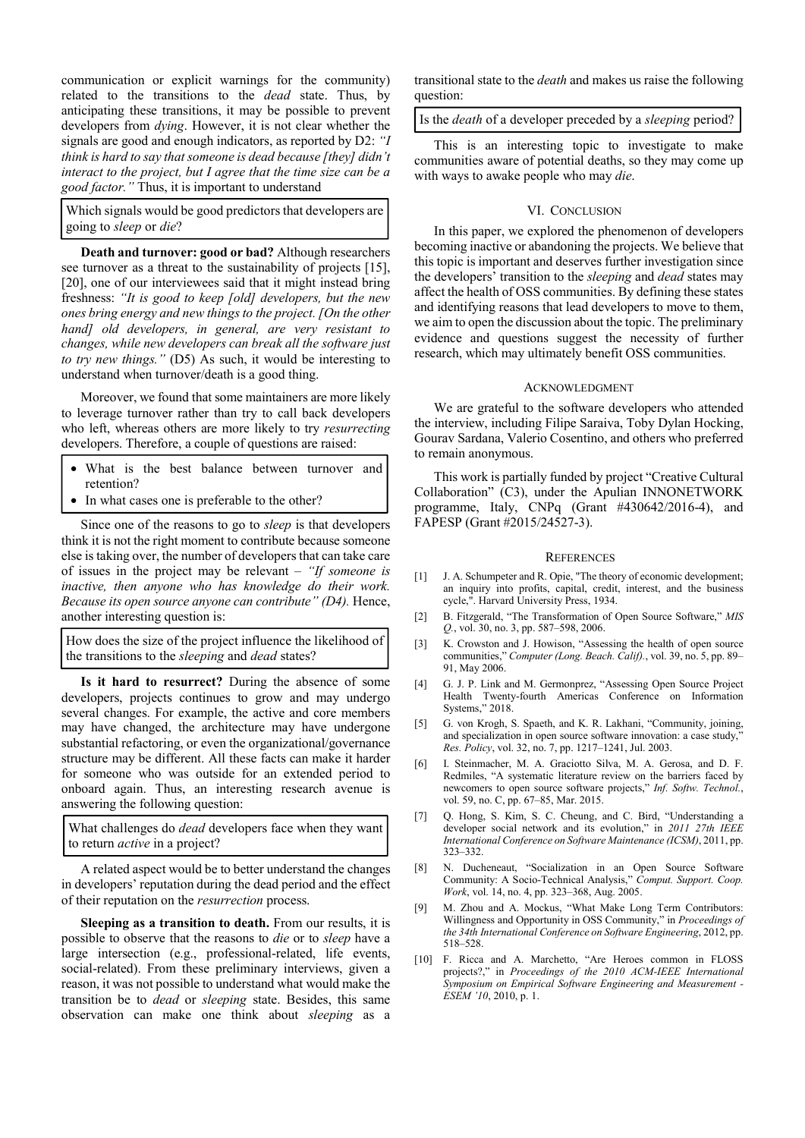communication or explicit warnings for the community) related to the transitions to the *dead* state. Thus, by anticipating these transitions, it may be possible to prevent developers from *dying*. However, it is not clear whether the signals are good and enough indicators, as reported by D2: *"I think is hard to say that someone is dead because [they] didn't interact to the project, but I agree that the time size can be a good factor."* Thus, it is important to understand

Which signals would be good predictors that developers are going to *sleep* or *die*?

**Death and turnover: good or bad?** Although researchers see turnover as a threat to the sustainability of projects [15], [20], one of our interviewees said that it might instead bring freshness: *"It is good to keep [old] developers, but the new ones bring energy and new things to the project. [On the other hand] old developers, in general, are very resistant to changes, while new developers can break all the software just to try new things."* (D5) As such, it would be interesting to understand when turnover/death is a good thing.

Moreover, we found that some maintainers are more likely to leverage turnover rather than try to call back developers who left, whereas others are more likely to try *resurrecting* developers. Therefore, a couple of questions are raised:

- What is the best balance between turnover and retention?
- In what cases one is preferable to the other?

Since one of the reasons to go to *sleep* is that developers think it is not the right moment to contribute because someone else is taking over, the number of developers that can take care of issues in the project may be relevant – *"If someone is inactive, then anyone who has knowledge do their work. Because its open source anyone can contribute" (D4).* Hence, another interesting question is:

How does the size of the project influence the likelihood of the transitions to the *sleeping* and *dead* states?

**Is it hard to resurrect?** During the absence of some developers, projects continues to grow and may undergo several changes. For example, the active and core members may have changed, the architecture may have undergone substantial refactoring, or even the organizational/governance structure may be different. All these facts can make it harder for someone who was outside for an extended period to onboard again. Thus, an interesting research avenue is answering the following question:

What challenges do *dead* developers face when they want to return *active* in a project?

A related aspect would be to better understand the changes in developers' reputation during the dead period and the effect of their reputation on the *resurrection* process.

**Sleeping as a transition to death.** From our results, it is possible to observe that the reasons to *die* or to *sleep* have a large intersection (e.g., professional-related, life events, social-related). From these preliminary interviews, given a reason, it was not possible to understand what would make the transition be to *dead* or *sleeping* state. Besides, this same observation can make one think about *sleeping* as a transitional state to the *death* and makes us raise the following question:

Is the *death* of a developer preceded by a *sleeping* period?

This is an interesting topic to investigate to make communities aware of potential deaths, so they may come up with ways to awake people who may *die*.

#### VI. CONCLUSION

In this paper, we explored the phenomenon of developers becoming inactive or abandoning the projects. We believe that this topic is important and deserves further investigation since the developers' transition to the *sleeping* and *dead* states may affect the health of OSS communities. By defining these states and identifying reasons that lead developers to move to them, we aim to open the discussion about the topic. The preliminary evidence and questions suggest the necessity of further research, which may ultimately benefit OSS communities.

# ACKNOWLEDGMENT

We are grateful to the software developers who attended the interview, including Filipe Saraiva, Toby Dylan Hocking, Gourav Sardana, Valerio Cosentino, and others who preferred to remain anonymous.

This work is partially funded by project "Creative Cultural Collaboration" (C3), under the Apulian INNONETWORK programme, Italy, CNPq (Grant #430642/2016-4), and FAPESP (Grant #2015/24527-3).

#### **REFERENCES**

- [1] J. A. Schumpeter and R. Opie, "The theory of economic development; an inquiry into profits, capital, credit, interest, and the business cycle,". Harvard University Press, 1934.
- [2] B. Fitzgerald, "The Transformation of Open Source Software," *MIS Q.*, vol. 30, no. 3, pp. 587–598, 2006.
- [3] K. Crowston and J. Howison, "Assessing the health of open source communities," *Computer (Long. Beach. Calif).*, vol. 39, no. 5, pp. 89– 91, May 2006.
- [4] G. J. P. Link and M. Germonprez, "Assessing Open Source Project Health Twenty-fourth Americas Conference on Information Systems," 2018.
- [5] G. von Krogh, S. Spaeth, and K. R. Lakhani, "Community, joining, and specialization in open source software innovation: a case study, *Res. Policy*, vol. 32, no. 7, pp. 1217–1241, Jul. 2003.
- [6] I. Steinmacher, M. A. Graciotto Silva, M. A. Gerosa, and D. F. Redmiles, "A systematic literature review on the barriers faced by newcomers to open source software projects," *Inf. Softw. Technol.*, vol. 59, no. C, pp. 67–85, Mar. 2015.
- [7] Q. Hong, S. Kim, S. C. Cheung, and C. Bird, "Understanding a developer social network and its evolution," in *2011 27th IEEE International Conference on Software Maintenance (ICSM)*, 2011, pp. 323–332.
- [8] N. Ducheneaut, "Socialization in an Open Source Software Community: A Socio-Technical Analysis," *Comput. Support. Coop. Work*, vol. 14, no. 4, pp. 323–368, Aug. 2005.
- [9] M. Zhou and A. Mockus, "What Make Long Term Contributors: Willingness and Opportunity in OSS Community," in *Proceedings of the 34th International Conference on Software Engineering*, 2012, pp. 518–528.
- [10] F. Ricca and A. Marchetto, "Are Heroes common in FLOSS projects?," in *Proceedings of the 2010 ACM-IEEE International Symposium on Empirical Software Engineering and Measurement - ESEM '10*, 2010, p. 1.